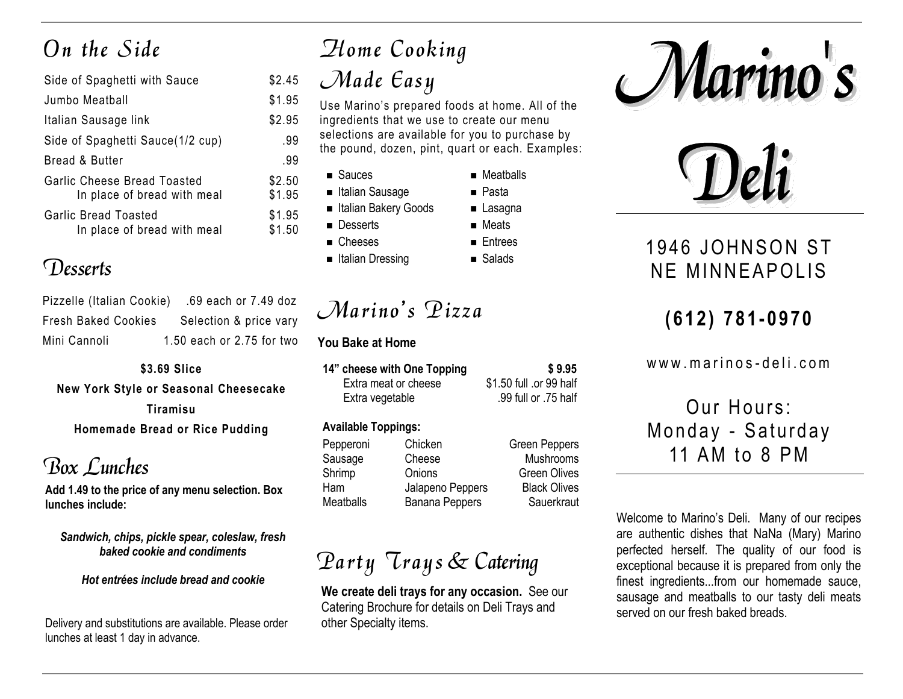# $On the Side$

| Side of Spaghetti with Sauce                                      | \$2.45           |
|-------------------------------------------------------------------|------------------|
| Jumbo Meatball                                                    | \$1.95           |
| Italian Sausage link                                              | \$2.95           |
| Side of Spaghetti Sauce(1/2 cup)                                  | .99              |
| Bread & Butter                                                    | .99              |
| <b>Garlic Cheese Bread Toasted</b><br>In place of bread with meal | \$2.50<br>\$1.95 |
| <b>Garlic Bread Toasted</b><br>In place of bread with meal        | \$1.95<br>\$1.50 |

### Desserts

| Pizzelle (Italian Cookie)  | .69 each or 7.49 doz      |
|----------------------------|---------------------------|
| <b>Fresh Baked Cookies</b> | Selection & price vary    |
| Mini Cannoli               | 1.50 each or 2.75 for two |

**\$3.69 Slice New York Style or Seasonal Cheesecake Tiramisu Homemade Bread or Rice Pudding**

### Box Lunches

**Add 1.49 to the price of any menu selection. Box lunches include:**

*Sandwich, chips, pickle spear, coleslaw, fresh baked cookie and condiments*

*Hot entrées include bread and cookie*

Delivery and substitutions are available. Please order lunches at least 1 day in advance.

# Home Cooking  $\mathcal{M}$ ade  $\mathcal{E}$ asy

Use Marino's prepared foods at home. All of the ingredients that we use to create our menu selections are available for you to purchase by the pound, dozen, pint, quart or each. Examples:

> ■ Meatballs ■ Pasta ■ Lasagna ■ Meats ■ Entrees

■ Sauces

 $$1.95$ 

 $$1.95$  $$1.95$  $$1.50$ 

- Italian Sausage
- Italian Bakery Goods
- Desserts
- Cheeses
- Italian Dressing

 $Marino's$  Pizza

#### **You Bake at Home**

| 14" cheese with One Topping | \$9.95                  |
|-----------------------------|-------------------------|
| Extra meat or cheese        | \$1.50 full .or 99 half |
| Extra vegetable             | .99 full or .75 half    |

#### **Available Toppings:**

| Pepperoni | Chicken               | <b>Green Peppers</b> |
|-----------|-----------------------|----------------------|
| Sausage   | Cheese                | Mushrooms            |
| Shrimp    | Onions                | <b>Green Olives</b>  |
| Ham       | Jalapeno Peppers      | <b>Black Olives</b>  |
| Meatballs | <b>Banana Peppers</b> | Sauerkraut           |

# Party Trays & Catering

**We create deli trays for any occasion.** See our Catering Brochure for details on Deli Trays and other Specialty items.





### 1946 JOHNSON ST NF MINNFAPOLIS

### **( 6 1 2 ) 781 - 0 9 70**

www.marinos-deli.com

Our Hours: Monday - Saturday 11 AM to 8 PM

Welcome to Marino's Deli. Many of our recipes are authentic dishes that NaNa (Mary) Marino perfected herself. The quality of our food is exceptional because it is prepared from only the finest ingredients...from our homemade sauce, sausage and meatballs to our tasty deli meats served on our fresh baked breads.

■ Salads